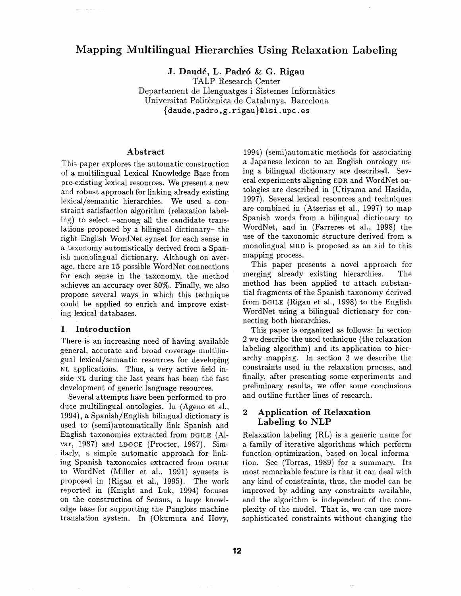# **Mapping Multilingual Hierarchies Using Relaxation Labeling**

**J. Daud6, L. Padr6 &: G. Rigau** 

TALP Research Center Departament de Llenguatges i Sistemes Informàtics Universitat Politècnica de Catalunya. Barcelona (daude, padro, g. rigau}©lsi, upc. es

#### **Abstract**

This paper explores the automatic construction of a multilingual Lexical Knowledge Base from pre-existing lexical resources. We present a new and robust approach for linking already existing lexical/semantic hierarchies. We used a constraint satisfaction algorithm (relaxation labeling) to select -among all the candidate translations proposed by a bilingual dictionary- the right English WordNet synset for each sense in a taxonomy automatically derived from a Spanish monolingual dictionary. Although on average, there are 15 possible WordNet connections for each sense in the taxonomy, the method achieves an accuracy over 80%. Finally, we also propose several ways in which this technique could be applied to enrich and improve existing lexical databases.

## 1 **Introduction**

There is an increasing need of having available general, accurate and broad coverage multilingual lexical/semantic resources for developing NL applications. Thus, a very active field inside NL during the last years has been the fast development of generic language resources.

Several attempts have been performed to produce multilingual ontologies. In (Ageno et al., 1994), a Spanish/English bilingual dictionary is used to (semi)automatically link Spanish and English taxonomies extracted from DGILE (A1 var, 1987) and LDOCE (Procter, 1987). Similarly, a simple automatic approach for linking Spanish taxonomies extracted from DGILE to WordNet (Miller et al., 1991) synsets is proposed in (Rigau et al., 1995). The work reported in (Knight and Luk, 1994) focuses on the construction of Sensus, a large knowledge base for supporting the Pangloss machine translation system. In (Okumura and Hovy, 1994) (semi)automatic methods for associating a Japanese lexicon to an English ontology using a bilingual dictionary are described. Several experiments aligning EDR and WordNet ontologies are described in (Utiyama and Hasida, 1997). Several lexical resources and techniques are combined in (Atserias et al., 1997) to map Spanish words from a bilingual dictionary to WordNet, and in (Farreres et al., 1998) the use of the taxonomic structure derived from a monolingual MaD is proposed as an aid to this mapping process.

This paper presents a novel approach for merging already existing hierarchies. The method has been applied to attach substantial fragments of the Spanish taxonomy derived from DGILE (Rigau et al., 1998) to the English WordNet using a bilingual dictionary for connecting both hierarchies.

This paper is organized as follows: In section 2 we describe the used technique (the relaxation labeling algorithm) and its application to hierarchy mapping. In section 3 we describe the constraints used in the relaxation process, and finally, after presenting some experiments and preliminary results, we offer some conclusions and outline further lines of research.

# **2 Application of Relaxation Labeling to** NLP

Relaxation labeling (RL) is a generic name for a family of iterative algorithms which perform function optimization, based on local information. See (Torras, 1989) for a summary. Its most remarkable feature is that it can deal with any kind of constraints, thus, the model can be improved by adding any constraints available, and the algorithm is independent of the complexity of the model. That is, we can use more sophisticated constraints without changing the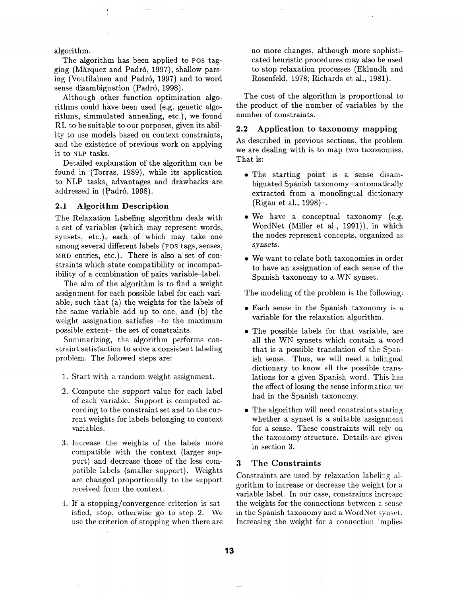algorithm.

The algorithm has been applied to POS tagging (Màrquez and Padró, 1997), shallow parsing (Voutilainen and Padrd, 1997) and to word sense disambiguation (Padrd, 1998).

Although ocher function optimization algorithms could have been used (e.g. genetic algorithms, simmulated annealing, etc.), we found RL to be suitable to our purposes, given its ability to use models based on context constraints, and the existence of previous work on applying it to NLP tasks.

Detailed explanation of the algorithm can be found in (Torras, 1989), while its application to NLP tasks, advantages and drawbacks are addressed in (Padró, 1998).

#### 2.1 Algorithm Description

The Relaxation Labeling algorithm deals with a set of variables (which may represent words, synsets, etc.), each of which may take one among several different labels (POS tags, senses, MaD entries, etc.). There is also a set of constraints which state compatibility or incompatibility of a combination of pairs variable-label.

The aim of the algorithm is to find a weight assignment for each possible label for each variable, such that (a) the weights for the labels of the same variable add up to one, and (b) the weight assignation satisfies -to the maximum possible extent- the set of constraints.

Summarizing, the algorithm performs constraint satisfaction to solve a consistent labeling problem. The followed steps are:

- 1. Start with a random weight assignment.
- 2. Compute the *support* value for each label of each variable. Support is computed according to the constraint set and to the current weights for labels belonging to context variables.
- . Increase the weights of the labels more compatible with the context (larger support) and decrease those of the less compatible labels (smaller support). Weights are changed proportionally to the support received from the context.
- . If a stopping/convergence criterion is satisfied, stop, otherwise go to step 2. We use the criterion of stopping when there are

no more changes, although more sophisticated heuristic procedures may also be used to stop relaxation processes (Eklundh and Rosenfeld, 1978; Richards et al., 1981).

The cost of the algorithm is proportional to the product of the number of variables by the number of constraints.

## 2.2 Application to taxonomy mapping

As described in previous sections, the problem we are dealing with is to map two taxonomies. That is:

- The starting point is a sense disambiguated Spanish taxonomy-automatically extracted from a monolingual dictionary (Rigau et al., 1998)-.
- We have a conceptual taxonomy (e.g. WordNet (Miller et al., 1991)), in which the nodes represent concepts, organized as synsets.
- We want to relate both taxonomies in order to have an assignation of each sense of the Spanish taxonomy to a WN synset.

The modeling of the problem is the following:

- Each sense in the Spanish taxonomy is a variable for the relaxation algorithm.
- The possible labels for that variable, are all the WN synsets which contain a word that is a possible translation of the Spanish sense. Thus, we will need a bilingual dictionary to know all the possible translations for a given Spanish word. This has the effect of losing the sense information we had in the Spanish taxonomy.
- The algorithm will need constraints stating whether a synset is a suitable assignment for a sense. These constraints will rely on the taxonomy structure. Details are given in section 3.

### **3 The Constraints**

Constraints are used by relaxation labeling algorithm to increase or decrease the weight for a variable label. In our case, constraints increase the weights for the connections between a sense in the Spanish taxonomy and a WordNet synset. Increasing the weight for a connection implies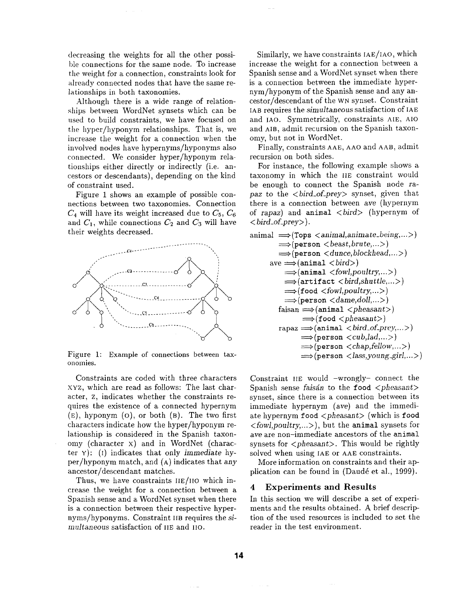decreasing the weights for all the other possible connections for the same node. To increase the weight for a connection, constraints look for already connected nodes that have the same relationships in both taxonomies.

Although there is a wide range of relationships between WordNet synsets which can be used to build constraints, we have focused on the hyper/hyponym relationships. That is, we increase the weight for a connection when the involved nodes have hypernyms/hyponyms also connected. We consider hyper/hyponym relationships either directly or indirectly (i.e. ancestors or descendants), depending on the kind of constraint used.

Figure 1 shows an example of possible connections between two taxonomies. Connection  $C_4$  will have its weight increased due to  $C_5$ ,  $C_6$ and  $C_1$ , while connections  $C_2$  and  $C_3$  will have their weights decreased.



Figure 1: Example of connections between taxonomies.

Constraints are coded with three characters xYz, which are read as follows: The last character, z, indicates whether the constraints requires the existence of a connected hypernym  $(E)$ , hyponym  $(O)$ , or both  $(B)$ . The two first characters indicate how the hyper/hyponym relationship is considered in the Spanish taxonomy (character x) and in WordNet (character ¥): (I) indicates that only *immediate* hyper/hyponym match, and (A) indicates that any ancestor/descendant matches.

Thus, we have constraints IIE/IIO which increase the weight for a connection between a Spanish sense and a WordNet synset when there is a connection between their respective hypernyms/hyponyms. Constraint IIB requires the si*multaneous* satisfaction of IIE and II0.

Similarly, we have constraints IAE/IAO, which increase the weight for a connection between a Spanish sense and a WordNet synset when there is a connection between the immediate hypernym/hyponym of the Spanish sense and any ancestor/descendant of the WN synset. Constraint IAB requires the *simultaneous* satisfaction of IAE and IAO. Symmetrically, constraints AtE, A10 and AIB, admit recursion on the Spanish taxonomy, but not in WordNet.

Finally, constraints AAE, AAO and AAB, admit recursion on both sides.

For instance, the following example shows a taxonomy in which the IIE constraint would be enough to connect the Spanish node ra*paz* to the *<bird\_of\_prey>* synset, given that there is a connection between *ave* (hypernym of rapaz) and animal *<bird>* (hypernym of *< bird\_of\_prey>).* 

```
\text{animal} \implies \text{(Tops } \leq \text{animal}, \text{animate} \leq \text{being}, \dots)\Longrightarrow(person \lt{beast, brute,...})
    \Longrightarrow(person \lt dunce, blockhead,... >)
ave \implies (animal < bird)\Longrightarrow (animal \lt fowl, poultry,...)
       \implies (artifact \langle \text{bird}, \text{shuffle}, \dots \rangle)
       \implies(food \lt fowl, poultry,...)
       \Longrightarrow(person \langledame,doll,...>)
    f \text{aisan} \Longrightarrow \text{(animal <} \text{pheasant>})\implies (food \langle pheasant>)
    rapaz \Longrightarrow (animal < bird_of-prey,...)\Longrightarrow(person \lt{cub,lad,...>})
              \Longrightarrow(person \ltchap,fellow,...>)
              \Longrightarrow (person < lass, young_girl,... >)
```
Constraint lIE would -wrongly- connect the Spanish sense *faisán* to the **food**  $\langle$ *pheasant* $\rangle$ synset, since there is a connection between its immediate hypernym (ave) and the immediate hypernym food *<pheasant>* (which is food *<fowl,poultry,...>),* but the animal synsets for ave are non-immediate ancestors of the animal synsets for *<pheasant>*. This would be rightly solved when using IAE or AAE constraints.

More information on constraints and their application can be found in (Daudé et al., 1999).

#### **4 Experiments and Results**

In this section we will describe a set of experiments and the results obtained. A brief description of the used resources is included to set the reader in the test environment.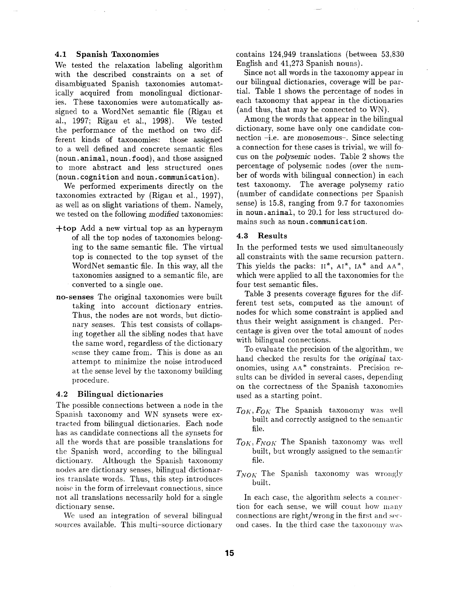#### **4.1 Spanish Taxonomies**

We tested the relaxation labeling algorithm with the described constraints on a set of disambiguated Spanish taxonomies automatically acquired from monolingual dictionaries. These taxonomies were automatically assigned to a WordNet semantic file (Rigau et al., 1997; Rigau et al., 1998). We tested the performance of the method on two different kinds of taxonomies: those assigned to a well defined and concrete semantic files (noun. animal, noun. food), and those assigned to more abstract and less structured ones (noun. cognition and noun. communication).

We performed experiments directly on the taxonomies extracted by (Rigau et al., 1997), as well as on slight variations of them. Namely, we tested on the following *modified* taxonomies:

- +top Add a new virtual top as an hypernym of all the top nodes of taxonomies belonging to the same semantic file. The virtual top is connected to the top synset of the WordNet semantic file. In this way, all the taxonomies assigned to a semantic file, are • converted to a single one.
- **no-senses** The original taxonomies were built taking into account dictionary entries. Thus, the nodes are not words, but dictionary *senses.* This test consists of collapsing together all the sibling nodes that have the same word, regardless of the dictionary sense they came from. This is done as an attempt to minimize the noise introduced at the sense level by the taxonomy building procedure.

#### **4.2 Bilingual dictionaries**

The possible connections between a node in the Spanish taxonomy and WN synsets were extracted from bilingual dictionaries. Each node has as candidate connections all the synsets for all the words that are possible translations for the Spanish word, according to the bilingual dictionary. Although the Spanish taxonomy nodes are dictionary senses, bilingual dictionaries translate words. Thus, this step introduces noise in the form of irrelevant connections, since not all translations necessarily hold for a single dictionary sense.

We used an integration of several bilingual sources available. This multi-source dictionary

contains 124,949 translations (between 53,830 English and 41,273 Spanish nouns).

Since not all words in the taxonomy appear in our bilingual dictionaries, coverage will be partial. Table 1 shows the percentage of nodes in each taxonomy that appear in the dictionaries (and thus, that may be connected to WN).

Among the words that appear in the bilingual dictionary, some have only one candidate connection -i.e. are *monosemous-.* Since selecting a connection for these cases is trivial, we will focus on the *polysemic* nodes. Table 2 shows the percentage of polysemic nodes (over the number of words with bilingual connection) in each test taxonomy. The average polysemy ratio (number of candidate connections per Spanish sense) is 15.8, ranging from 9.7 for taxonomies in noun. animal, to 20.1 for less structured domains such as noun. communication.

#### **4.3 Results**

In the performed tests we used simultaneously all constraints with the same recursion pattern. This yields the packs:  $II^*$ ,  $AI^*$ ,  $IA^*$  and  $AA^*$ , which were applied to all the taxonomies for the four test semantic files.

Table 3 presents coverage figures for the different test sets, computed as the amount of nodes for which some constraint is applied and thus their weight assignment is changed. Percentage is given over the total amount of nodes with bilingual connections.

To evaluate the precision of the algorithm, we hand checked the results for the *original* taxonomies, using AA\* constraints. Precision results can be divided in several cases, depending on the correctness of the Spanish taxonomies used as a starting point.

- $T_{OK}, F_{OK}$  The Spanish taxonomy was well built and correctly assigned to the semantic file.
- $T_{OK}, F_{NOK}$  The Spanish taxonomy was well built, but wrongly assigned to the semantic file.
- $T_{NOK}$  The Spanish taxonomy was wrongly built.

In each case, the algorithm selects a connection for each sense, we will count how many connections are right/wrong in the first and second cases. In the third case the taxonomy was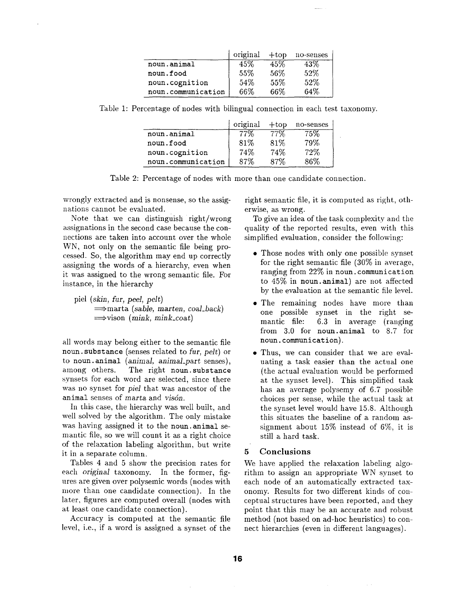|                    | original | $+top$ | no-senses |
|--------------------|----------|--------|-----------|
| noun.animal        | 45%      | 45%    | 43%       |
| noun.food          | 55%      | 56%    | 52%       |
| noun.cognition     | 54%      | 55%    | 52%       |
| noun.communication | 66%      | 66%    | 64%       |

Table 1: Percentage of nodes with bilingual connection in each test taxonomy.

|                    | original | $+$ top | no-senses |  |
|--------------------|----------|---------|-----------|--|
| noun.animal        |          | 77%     | 75%       |  |
| noun.food          | 81\%     | 81%     | 79%       |  |
| noun.cognition     | 74%      | 74%     | 72%       |  |
| noun.communication | 87%      | 87%     | 86%       |  |

Table 2: Percentage of nodes with more than one candidate connection.

wrongly extracted and is nonsense, so the assignations cannot be evaluated.

Note that we can distinguish right/wrong assignations in the second case because the connections are taken into account over the whole WN, not only on the semantic file being processed. So, the algorithm may end up correctly assigning the words of a hierarchy, even when it was assigned to the wrong semantic file. For instance, in the hierarchy

piel *(skin, fur, peel, pelt)* ==~marta *(sable,* marten, *coal\_back)*   $\implies$ vison *(mink, mink\_coat)* 

all words may belong either to the semantic file noun. substance (senses related to fur, *pelt)* or to noun.animal (animal, *animal\_part* senses), among others. The right noun.substance synsets for each word are selected, since there was no synset for *piel* that was ancestor of the animal senses of marta and *visdn.* 

In this case, the hierarchy was well built, and well solved by the algorithm. The only mistake was having assigned it to the noun.animal semantic file, so we will count it as a right choice of the relaxation labeling algorithm, but write it in a separate column.

Tables 4 and 5 show the precision rates for each *original* taxonomy. In the former, figures are given over polysemic words (nodes with more than one candidate connection). In the later, figures are computed overall (nodes with at least one candidate connection).

Accuracy is computed at the semantic file level, i.e., if a word is assigned a synset of the right semantic file, it is computed as right, otherwise, as wrong.

To give an idea of the task complexity and the quality of the reported results, even with this simplified evaluation, consider the following:

- Those nodes with only one possible synset for the right semantic file (30% in average, ranging from 22% in noun. communication to 45% in noun.animal) are not affected by the evaluation at the semantic file level.
- The remaining nodes have more than one possible synset in the right semantic file: 6.3 in average (ranging from 3.0 for noun.animal to 8.7 for noun. communication).
- Thus, we can consider that we are evaluating a task easier than the actual one (the actual evaluation would be performed at the synset level). This simplified task has an average polysemy of 6.7 possible choices per sense, while the actual task at the synset level would have 15.8. Although this situates the baseline of a random assignment about 15% instead of 6%, it is still a hard task.

## 5 Conclusions

We have applied the relaxation labeling algorithm to assign an appropriate WN synset to each node of an automatically extracted taxonomy. Results for two different kinds of conceptual structures have been reported, and they point that this may be an accurate and robust method (not based on ad-hoc heuristics) to connect hierarchies (even in different languages).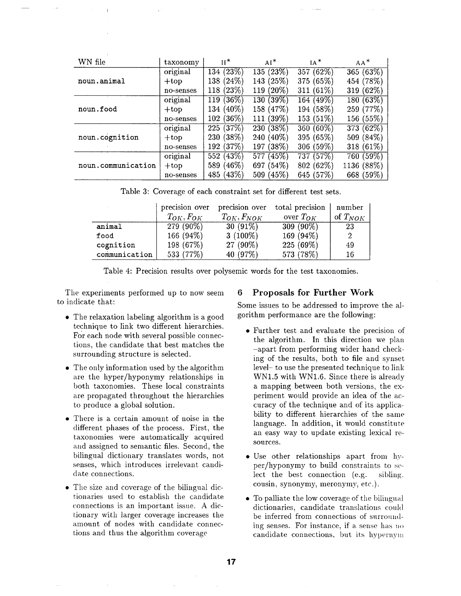| WN file            | taxonomy  | $\mathbf{H}^*$      | $AI*$           | $IA^*$          | $AA^*$       |
|--------------------|-----------|---------------------|-----------------|-----------------|--------------|
|                    | original  | 134(23%)            | 135(23%)        | (62%)<br>357    | 365 (63%)    |
| noun.animal        | $+top$    | 138 (24%)           | 143 (25%)       | (65%)<br>375    | 454 (78%)    |
|                    | no-senses | (23%)<br>118        | 119 (20%)       | $(61\%)$<br>311 | (62%)<br>319 |
|                    | original  | (36%)<br>119        | 130(39%)        | 164 (49%)       | (63%)<br>180 |
| noun.food          | $+top$    | 134 (40%)           | 158 (47%)       | 194 (58%)       | 259 (77%)    |
|                    | no-senses | 102 (36%)           | 111 (39%)       | 153 (51%)       | 156 (55%)    |
|                    | original  | (37%)<br>225        | $230(38\%)$     | 360 $(60\%)$    | 373 (62%)    |
| noun.cognition     | $+top$    | (38%)<br><b>230</b> | $(40\%)$<br>240 | 395 (65%)       | 509 (84%)    |
|                    | no-senses | (37%)<br>192        | $(38\%)$<br>197 | 306 (59%)       | 318 (61%)    |
| noun.communication | original  | 552(43%)            | 577 (45%)       | (57%)<br>737    | 760 (59%)    |
|                    | $+top$    | $(46\%)$<br>589     | 697 (54%)       | (62%)<br>802(   | 1136 (88%)   |
|                    | no-senses | 485 (43%)           | 509 (45%)       | 645 (57%)       | 668 (59%)    |

Table 3: Coverage of each constraint set for different test sets.

|               | precision over   | precision over    | total precision | number       |
|---------------|------------------|-------------------|-----------------|--------------|
|               | $T_{OK}, F_{OK}$ | $T_{OK}, F_{NOK}$ | over $T_{OK}$   | of $T_{NOK}$ |
| animal        | $279(90\%)$      | $30(91\%)$        | $309(90\%)$     | 23           |
| food          | 166 (94%)        | $3(100\%)$        | 169 (94%)       | 2            |
| cognition     | 198 (67%)        | 27 (90%)          | 225 (69%)       | 49           |
| communication | 533 (77%)        | 40 (97%)          | 573 (78%)       | 16           |

Table 4: Precision results over polysemic words for the test taxonomies.

The experiments performed up to now seem to indicate that:

- The relaxation labeling algorithm is a good technique to link two different hierarchies. For each node with several possible connections, the candidate that best matches the surrounding structure is selected.
- The only information used by the algorithm are the hyper/hyponymy relationships in both taxonomies. These local constraints are propagated throughout the hierarchies to produce a global solution.
- There is a certain amount of noise in the different phases of the process. First, the taxonomies were automatically acquired and assigned to semantic files. Second, the bilingual dictionary translates words, not senses, which introduces irrelevant candidate connections.
- The size and coverage of the bilingual dictionaries used to establish the candidate connections is an important issue. A dictionary with larger coverage increases the amount of nodes with candidate connections and thus the algorithm coverage

# 6 Proposals for Further Work

Some issues to be addressed to improve the algorithm performance are the following:

- Further test and evaluate the precision of the algorithm. In this direction we plan -apart from performing wider hand checking of the results, both to file and synset level- to use the presented technique to link WN1.5 with WN1.6. Since there is already a mapping between both versions, the experiment would provide an idea of the accuracy of the technique and of its applicability to different hierarchies of the same language. In addition, it would constitute an easy way to update existing lexical resources.
- Use other relationships apart from hyper/hyponymy to build constraints to select the best connection (e.g. sibling. cousin, synonymy, meronymy, etc.).
- To palliate the low coverage of the bilingual dictionaries, candidate translations could be inferred from connections of surrounding senses. For instance, if a sense has no candidate connections, but its hypernym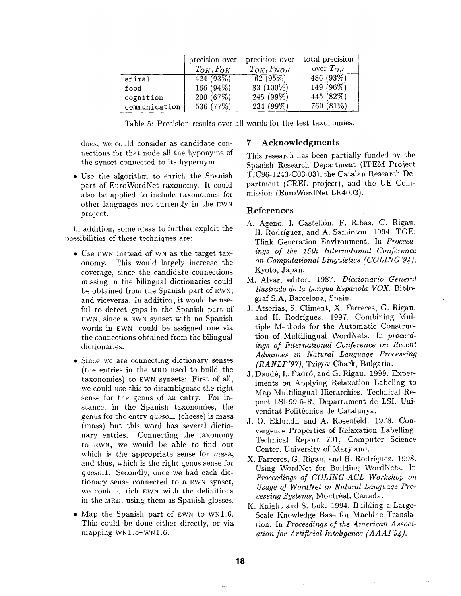|               | precision over   | precision over    | total precision |
|---------------|------------------|-------------------|-----------------|
|               | $T_{OK}, F_{OK}$ | $T_{OK}, F_{NOK}$ | over $T_{OK}$   |
| animal        | 424(93%)         | 62(95%)           | 486(93%)        |
| food          | 166 (94%)        | 83 (100%)         | 149 (96%)       |
| cognition     | 200(67%)         | 245 (99%)         | 445 (82%)       |
| communication | 536 (77%)        | 234 (99%)         | 760 (81%)       |

Table 5: Precision results over all words for the test taxonomies.

does, we could consider as candidate connections for that node all the hyponyms of the synset connected to its hypernym.

• Use the algorithm to enrich the Spanish part of EuroWordNet taxonomy. It could also be applied to include taxonomies for other languages not currently in the SWN project.

In addition, some ideas to further exploit the possibilities of these techniques are:

- Use EWN instead of WN as the target taxonomy. This would largely increase the coverage, since the candidate connections missing in the bilingual dictionaries could be obtained from the Spanish part of EWN, and viceversa. In addition, it would be useful to detect *gaps* in the Spanish part of EWN, since a EWN synset with no Spanish words in EWN, could be assigned one via the connections obtained from the bilingual dictionaries.
- Since we are connecting dictionary senses (the entries in the MRD used to build the taxonomies) to EWN synsets: First of all, we could use this to disambiguate the right sense for the genus of an entry. For instance, in the Spanish taxonomies, the genus for the entry *queso\_l* (cheese) is masa (mass) but this word has several dictionary entries. Connecting the taxonomy to EWN, we would be able to find out which is the appropriate sense for  $masa$ , and thus, which is the right genus sense for *queso\_l.* Secondly, once we had each dictionary sense connected to a EWN synset, we could enrich EWN with the definitions in the MaD, using them as Spanish glosses.
- Map the Spanish part of EWN to WN1.6. This could be done either directly, or via mapping  $WN1.5-WN1.6$ .

# 7 **Acknowledgments**

This research has been partially funded by the Spanish Research Department (ITEM Project TIC96-1243-C03-03), the Catalan Research Department (CREL project), and the UE Commission (EuroWordNet LE4003).

# **References**

- A. Ageno, I. Castellón, F. Ribas, G. Rigau, H. Rodríguez, and A. Samiotou. 1994. TGE: Tlink Generation Environment. In *Proceedings of the 15th International Conference on Computational Linguistics (COLING'94),* Kyoto, Japan.
- M. Alvar, editor. 1987. *Diccionario General Ilustrado de la Lengua Espafiola VOX.* Biblograf S.A, Barcelona, Spain.
- J. Atserias, S. Climent, X. Farreres, G. Rigau, and H. Rodríguez. 1997. Combining Multiple Methods for the Automatic Construction of Multilingual WordNets. In *proceedings of International Conference on Recent Advances in Natural Language Processing (RANLP'97),* Tzigov Chark, Bulgaria.
- J. Daudé, L. Padró, and G. Rigau. 1999. Experiments on Applying Relaxation Labeling to Map Multilingual Hierarchies. Technical Report LSI-99-5-R, Departament de LSI. Universitat Politècnica de Catalunya.
- J. O. Eklundh and A. Rosenfeld. 1978. Convergence Properties of Relaxation Labelling. Technical Report 701, Computer Science Center. University of Maryland.
- X. Farreres, G. Rigau, and H. Rodríguez. 1998. Using WordNet for Building WordNets. In *Proceedings of COLING-ACL Workshop on Usage of WordNet in Natural Language Pro* $cessing\ Systems, \ Montréal, Canada.$
- K. Knight and S. Luk. 1994. Building a Large-Scale Knowledge Base for Machine Translation. In *Proceedings of the American Association for Artificial Inteligence (AAAI'94).*